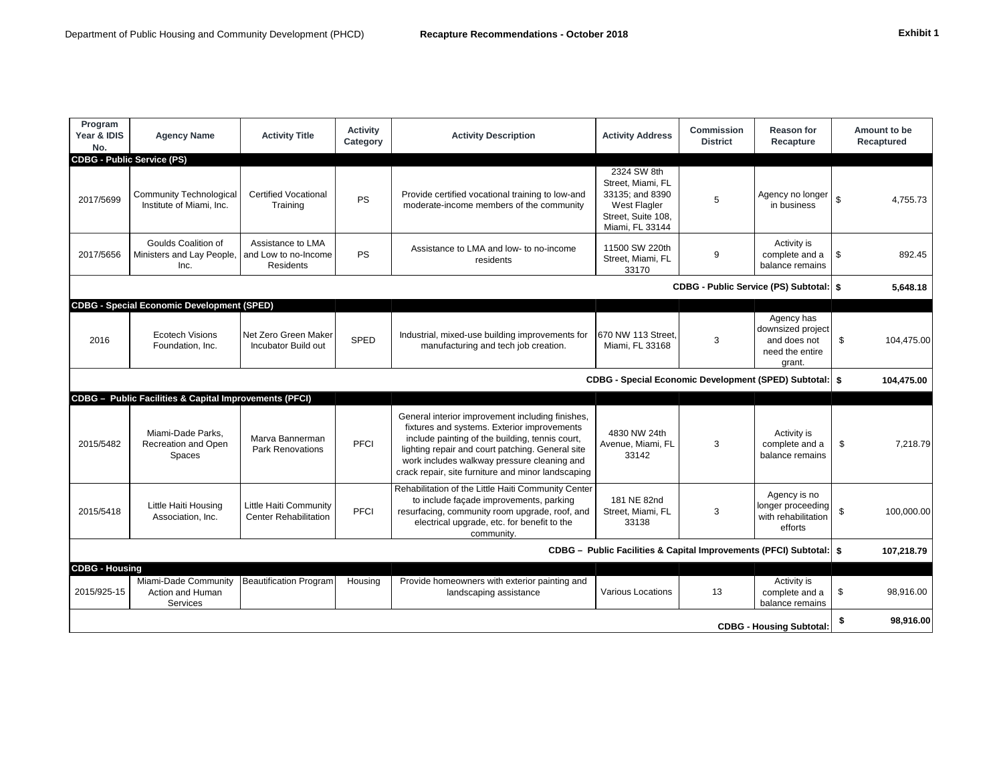| Program<br>Year & IDIS<br>No.                                       | <b>Agency Name</b>                                         | <b>Activity Title</b>                                         | <b>Activity</b><br>Category | <b>Activity Description</b>                                                                                                                                                                                                                                                                                 | <b>Activity Address</b>                                                                                      | <b>Commission</b><br><b>District</b> | <b>Reason for</b><br>Recapture                                               |                | Amount to be<br>Recaptured |
|---------------------------------------------------------------------|------------------------------------------------------------|---------------------------------------------------------------|-----------------------------|-------------------------------------------------------------------------------------------------------------------------------------------------------------------------------------------------------------------------------------------------------------------------------------------------------------|--------------------------------------------------------------------------------------------------------------|--------------------------------------|------------------------------------------------------------------------------|----------------|----------------------------|
| <b>CDBG - Public Service (PS)</b>                                   |                                                            |                                                               |                             |                                                                                                                                                                                                                                                                                                             |                                                                                                              |                                      |                                                                              |                |                            |
| 2017/5699                                                           | <b>Community Technological</b><br>Institute of Miami, Inc. | <b>Certified Vocational</b><br>Training                       | PS                          | Provide certified vocational training to low-and<br>moderate-income members of the community                                                                                                                                                                                                                | 2324 SW 8th<br>Street. Miami. FL<br>33135; and 8390<br>West Flagler<br>Street, Suite 108,<br>Miami, FL 33144 | 5                                    | Agency no longer<br>in business                                              | \$             | 4.755.73                   |
| 2017/5656                                                           | Goulds Coalition of<br>Ministers and Lay People,<br>Inc.   | Assistance to LMA<br>and Low to no-Income<br><b>Residents</b> | <b>PS</b>                   | Assistance to LMA and low- to no-income<br>residents                                                                                                                                                                                                                                                        | 11500 SW 220th<br>Street, Miami, FL<br>33170                                                                 | 9                                    | Activity is<br>complete and a<br>balance remains                             | \$             | 892.45                     |
| CDBG - Public Service (PS) Subtotal:   \$                           |                                                            |                                                               |                             |                                                                                                                                                                                                                                                                                                             |                                                                                                              |                                      |                                                                              |                | 5,648.18                   |
|                                                                     | <b>CDBG - Special Economic Development (SPED)</b>          |                                                               |                             |                                                                                                                                                                                                                                                                                                             |                                                                                                              |                                      |                                                                              |                |                            |
| 2016                                                                | <b>Ecotech Visions</b><br>Foundation, Inc.                 | Net Zero Green Maker<br>Incubator Build out                   | <b>SPED</b>                 | Industrial, mixed-use building improvements for<br>manufacturing and tech job creation.                                                                                                                                                                                                                     | 670 NW 113 Street.<br>Miami, FL 33168                                                                        | 3                                    | Agency has<br>downsized project<br>and does not<br>need the entire<br>arant. | \$             | 104,475.00                 |
| CDBG - Special Economic Development (SPED) Subtotal: \$             |                                                            |                                                               |                             |                                                                                                                                                                                                                                                                                                             |                                                                                                              |                                      |                                                                              |                | 104,475.00                 |
|                                                                     | CDBG - Public Facilities & Capital Improvements (PFCI)     |                                                               |                             |                                                                                                                                                                                                                                                                                                             |                                                                                                              |                                      |                                                                              |                |                            |
| 2015/5482                                                           | Miami-Dade Parks,<br>Recreation and Open<br><b>Spaces</b>  | Marva Bannerman<br>Park Renovations                           | PFCI                        | General interior improvement including finishes,<br>fixtures and systems. Exterior improvements<br>include painting of the building, tennis court,<br>lighting repair and court patching. General site<br>work includes walkway pressure cleaning and<br>crack repair, site furniture and minor landscaping | 4830 NW 24th<br>Avenue, Miami, FL<br>33142                                                                   | 3                                    | Activity is<br>complete and a<br>balance remains                             | \$             | 7,218.79                   |
| 2015/5418                                                           | Little Haiti Housing<br>Association, Inc.                  | Little Haiti Community<br><b>Center Rehabilitation</b>        | PFCI                        | Rehabilitation of the Little Haiti Community Center<br>to include facade improvements, parking<br>resurfacing, community room upgrade, roof, and<br>electrical upgrade, etc. for benefit to the<br>community.                                                                                               | 181 NE 82nd<br>Street, Miami, FL<br>33138                                                                    | 3                                    | Agency is no<br>longer proceeding<br>with rehabilitation<br>efforts          | $\mathfrak{L}$ | 100,000.00                 |
| CDBG - Public Facilities & Capital Improvements (PFCI) Subtotal: \$ |                                                            |                                                               |                             |                                                                                                                                                                                                                                                                                                             |                                                                                                              |                                      |                                                                              |                |                            |
| <b>CDBG - Housing</b>                                               |                                                            |                                                               |                             |                                                                                                                                                                                                                                                                                                             |                                                                                                              |                                      |                                                                              |                |                            |
| 2015/925-15                                                         | Miami-Dade Community<br>Action and Human<br>Services       | Beautification Program                                        | Housing                     | Provide homeowners with exterior painting and<br>landscaping assistance                                                                                                                                                                                                                                     | Various Locations                                                                                            | 13                                   | Activity is<br>complete and a<br>balance remains                             | \$             | 98,916.00                  |
| \$<br><b>CDBG - Housing Subtotal:</b>                               |                                                            |                                                               |                             |                                                                                                                                                                                                                                                                                                             |                                                                                                              |                                      |                                                                              |                | 98,916.00                  |